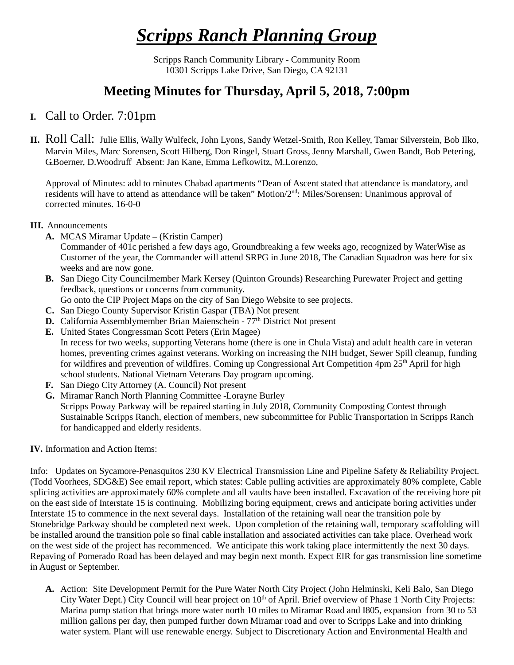# *Scripps Ranch Planning Group*

Scripps Ranch Community Library - Community Room 10301 Scripps Lake Drive, San Diego, CA 92131

## **Meeting Minutes for Thursday, April 5, 2018, 7:00pm**

### **I.** Call to Order. 7:01pm

**II.** Roll Call: Julie Ellis, Wally Wulfeck, John Lyons, Sandy Wetzel-Smith, Ron Kelley, Tamar Silverstein, Bob Ilko, Marvin Miles, Marc Sorensen, Scott Hilberg, Don Ringel, Stuart Gross, Jenny Marshall, Gwen Bandt, Bob Petering, G.Boerner, D.Woodruff Absent: Jan Kane, Emma Lefkowitz, M.Lorenzo,

Approval of Minutes: add to minutes Chabad apartments "Dean of Ascent stated that attendance is mandatory, and residents will have to attend as attendance will be taken" Motion/2nd: Miles/Sorensen: Unanimous approval of corrected minutes. 16-0-0

#### **III.** Announcements

**A.** MCAS Miramar Update – (Kristin Camper)

Commander of 401c perished a few days ago, Groundbreaking a few weeks ago, recognized by WaterWise as Customer of the year, the Commander will attend SRPG in June 2018, The Canadian Squadron was here for six weeks and are now gone.

**B.** San Diego City Councilmember Mark Kersey (Quinton Grounds) Researching Purewater Project and getting feedback, questions or concerns from community.

Go onto the CIP Project Maps on the city of San Diego Website to see projects.

- **C.** San Diego County Supervisor Kristin Gaspar (TBA) Not present
- **D.** California Assemblymember Brian Maienschein 77<sup>th</sup> District Not present
- **E.** United States Congressman Scott Peters (Erin Magee) In recess for two weeks, supporting Veterans home (there is one in Chula Vista) and adult health care in veteran homes, preventing crimes against veterans. Working on increasing the NIH budget, Sewer Spill cleanup, funding for wildfires and prevention of wildfires. Coming up Congressional Art Competition 4pm 25th April for high school students. National Vietnam Veterans Day program upcoming.
- **F.** San Diego City Attorney (A. Council) Not present
- **G.** Miramar Ranch North Planning Committee -Lorayne Burley Scripps Poway Parkway will be repaired starting in July 2018, Community Composting Contest through Sustainable Scripps Ranch, election of members, new subcommittee for Public Transportation in Scripps Ranch for handicapped and elderly residents.

#### **IV.** Information and Action Items:

Info: Updates on Sycamore-Penasquitos 230 KV Electrical Transmission Line and Pipeline Safety & Reliability Project. (Todd Voorhees, SDG&E) See email report, which states: Cable pulling activities are approximately 80% complete, Cable splicing activities are approximately 60% complete and all vaults have been installed. Excavation of the receiving bore pit on the east side of Interstate 15 is continuing. Mobilizing boring equipment, crews and anticipate boring activities under Interstate 15 to commence in the next several days. Installation of the retaining wall near the transition pole by Stonebridge Parkway should be completed next week. Upon completion of the retaining wall, temporary scaffolding will be installed around the transition pole so final cable installation and associated activities can take place. Overhead work on the west side of the project has recommenced. We anticipate this work taking place intermittently the next 30 days. Repaving of Pomerado Road has been delayed and may begin next month. Expect EIR for gas transmission line sometime in August or September.

**A.** Action: Site Development Permit for the Pure Water North City Project (John Helminski, Keli Balo, San Diego City Water Dept.) City Council will hear project on 10<sup>th</sup> of April. Brief overview of Phase 1 North City Projects: Marina pump station that brings more water north 10 miles to Miramar Road and I805, expansion from 30 to 53 million gallons per day, then pumped further down Miramar road and over to Scripps Lake and into drinking water system. Plant will use renewable energy. Subject to Discretionary Action and Environmental Health and